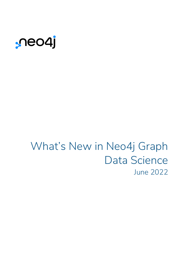

# What's New in Neo4j Graph Data Science June 2022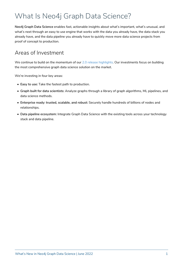# What Is Neo4j Graph Data Science?

**Neo4j Graph Data Science** enables fast, actionable insights about what's important, what's unusual, and what's next through an easy to use engine that works with the data you already have, the data stack you already have, and the data pipeline you already have to quickly move more data science projects from proof of concept to production.

#### Areas of Investment

We continue to build on the momentum of our [2.0 release highlights](https://go.neo4j.com/rs/710-RRC-335/images/What%27s-New-In-Neo4j-Graph-Data-Science.pdf). Our investments focus on building the most comprehensive graph data science solution on the market.

We're investing in four key areas:

- **Easy to use:** Take the fastest path to production.
- **Graph built for data scientists:** Analyze graphs through a library of graph algorithms, ML pipelines, and data science methods.
- **Enterprise ready: trusted, scalable, and robust:** Securely handle hundreds of billions of nodes and relationships.
- **Data pipeline ecosystem:** Integrate Graph Data Science with the existing tools across your technology stack and data pipeline.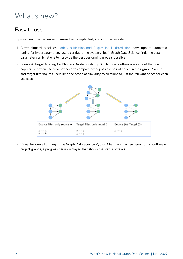# What's new?

#### Easy to use

Improvement of experiences to make them simple, fast, and intuitive include:

- 1. **Autotuning:** ML pipelines [\(nodeClassification](https://neo4j.com/docs/graph-data-science/2.1/machine-learning/node-property-prediction/nodeclassification-pipelines/config/#nodeclassification-pipelines-configure-auto-tuning), [nodeRegression](https://neo4j.com/docs/graph-data-science/2.1/machine-learning/node-property-prediction/noderegression-pipelines/config/#noderegression-pipelines-configure-auto-tuning), [linkPrediction](https://neo4j.com/docs/graph-data-science/2.1/machine-learning/linkprediction-pipelines/config/#linkprediction-configure-auto-tuning)) now support automated tuning for hyperparameters; users configure the system, Neo4j Graph Data Science finds the best parameter combinations to . provide the best performing models possible.
- 2. **Source & Target filtering for KNN and Node Similarity:** Similarity algorithms are some of the most popular, but often users do not need to compare every possible pair of nodes in their graph. Source and target filtering lets users limit the scope of similarity calculations to just the relevant nodes for each use case.



3. **Visual Progress Logging in the Graph Data Science Python Client:** now, when users run algorithms or project graphs, a progress bar is displayed that shows the status of tasks.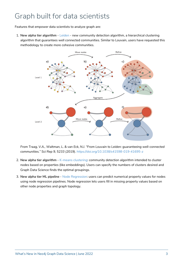# Graph built for data scientists

Features that empower data scientists to analyze graph are:

1. **New alpha tier algorithm** - [Leiden](https://neo4j.com/docs/graph-data-science/2.1/algorithms/alpha/leiden/) - new community detection algorithm, a hierarchical clustering algorithm that guarantees well connected communities. Similar to Louvain, users have requested this methodology to create more cohesive communities.



*From Traag, V.A., Waltman, L. & van Eck, N.J. "From Louvain to Leiden: guaranteeing well-connected communities." Sci Rep 9, 5233 (2019). <https://doi.org/10.1038/s41598-019-41695-z>*

- 2. **New alpha tier algorithm** [K-means clustering](https://neo4j.com/docs/graph-data-science/2.1/algorithms/alpha/kmeans/): community detection algorithm intended to cluster nodes based on properties (like embeddings). Users can specify the numbers of clusters desired and Graph Data Science finds the optimal groupings.
- 3. **New alpha tier ML pipeline** [Node Regression](https://neo4j.com/docs/graph-data-science/2.1/machine-learning/node-property-prediction/noderegression-pipelines/): users can predict numerical property values for nodes using node regression pipelines. Node regression lets users fill in missing property values based on other node properties and graph topology.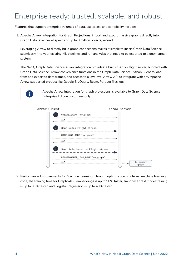# Enterprise ready: trusted, scalable, and robust

Features that support enterprise volumes of data, use cases, and complexity include:

1. **Apache Arrow Integration for Graph Projections**: import and export massive graphs directly into Graph Data Science- at speeds of up to **8 million objects/second**.

Leveraging Arrow to directly build graph connections makes it simple to Insert Graph Data Science seamlessly into your existing ML pipelines and run analytics that need to be exported to a downstream system.

The Neo4j Graph Data Science Arrow integration provides: a built-in Arrow flight server, bundled with Graph Data Science, Arrow convenience functions in the Graph Data Science Python Client to load from and export to data frames, and access to a low level Arrow API to integrate with any Apache Arrow supported product like Google BigQuery, Beam, Parquet files, etc.



Apache Arrow integration for graph projections is available to Graph Data Science Enterprise Edition customers only.



2. **Performance Improvements for Machine Learning**: Through optimization of internal machine learning code, the training time for GraphSAGE embeddings is up to 90% faster, Random Forest model training is up to 80% faster, and Logistic Regression is up to 40% faster.